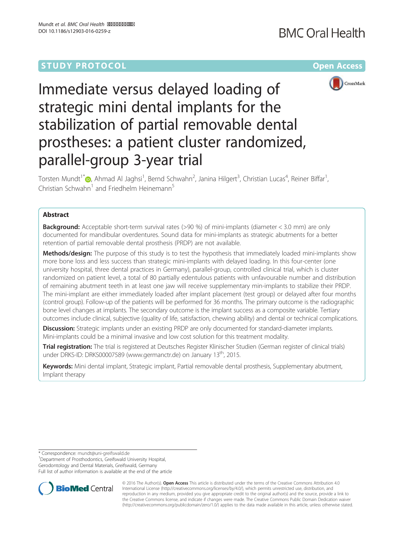# **STUDY PROTOCOL CONSUMING THE RESERVE ACCESS**



Immediate versus delayed loading of strategic mini dental implants for the stabilization of partial removable dental prostheses: a patient cluster randomized, parallel-group 3-year trial

Torsten Mundt<sup>1[\\*](http://orcid.org/0000-0001-6231-1902)</sup>�, Ahmad Al Jaghsi<sup>1</sup>, Bernd Schwahn<sup>2</sup>, Janina Hilgert<sup>3</sup>, Christian Lucas<sup>4</sup>, Reiner Biffar<sup>1</sup> , Christian Schwahn<sup>1</sup> and Friedhelm Heinemann<sup>5</sup>

# Abstract

**Background:** Acceptable short-term survival rates (>90 %) of mini-implants (diameter < 3.0 mm) are only documented for mandibular overdentures. Sound data for mini-implants as strategic abutments for a better retention of partial removable dental prosthesis (PRDP) are not available.

Methods/design: The purpose of this study is to test the hypothesis that immediately loaded mini-implants show more bone loss and less success than strategic mini-implants with delayed loading. In this four-center (one university hospital, three dental practices in Germany), parallel-group, controlled clinical trial, which is cluster randomized on patient level, a total of 80 partially edentulous patients with unfavourable number and distribution of remaining abutment teeth in at least one jaw will receive supplementary min-implants to stabilize their PRDP. The mini-implant are either immediately loaded after implant placement (test group) or delayed after four months (control group). Follow-up of the patients will be performed for 36 months. The primary outcome is the radiographic bone level changes at implants. The secondary outcome is the implant success as a composite variable. Tertiary outcomes include clinical, subjective (quality of life, satisfaction, chewing ability) and dental or technical complications.

**Discussion:** Strategic implants under an existing PRDP are only documented for standard-diameter implants. Mini-implants could be a minimal invasive and low cost solution for this treatment modality.

Trial registration: The trial is registered at Deutsches Register Klinischer Studien (German register of clinical trials) under DRKS-ID: [DRKS00007589](https://drks-neu.uniklinik-freiburg.de/drks_web/navigate.do?navigationId=trial.HTML&TRIAL_ID=DRKS00007589) ([www.germanctr.de\)](http://www.germanctr.de) on January 13<sup>th</sup>, 2015.

Keywords: Mini dental implant, Strategic implant, Partial removable dental prosthesis, Supplementary abutment, Implant therapy

\* Correspondence: [mundt@uni-greifswald.de](mailto:mundt@uni-greifswald.de)

<sup>1</sup>Department of Prosthodontics, Greifswald University Hospital,

Gerodontology and Dental Materials, Greifswald, Germany

Full list of author information is available at the end of the article



© 2016 The Author(s). Open Access This article is distributed under the terms of the Creative Commons Attribution 4.0 International License [\(http://creativecommons.org/licenses/by/4.0/](http://creativecommons.org/licenses/by/4.0/)), which permits unrestricted use, distribution, and reproduction in any medium, provided you give appropriate credit to the original author(s) and the source, provide a link to the Creative Commons license, and indicate if changes were made. The Creative Commons Public Domain Dedication waiver [\(http://creativecommons.org/publicdomain/zero/1.0/](http://creativecommons.org/publicdomain/zero/1.0/)) applies to the data made available in this article, unless otherwise stated.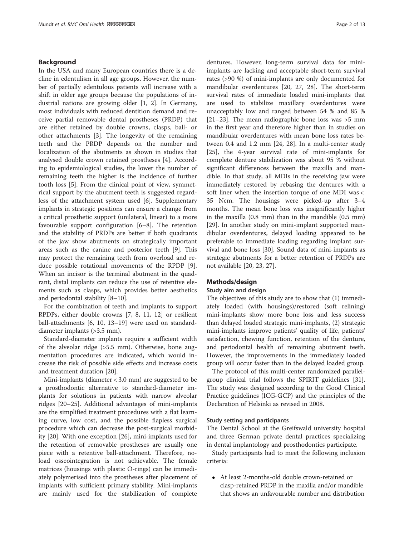# Background

In the USA and many European countries there is a decline in edentulism in all age groups. However, the number of partially edentulous patients will increase with a shift in older age groups because the populations of industrial nations are growing older [[1](#page-11-0), [2](#page-11-0)]. In Germany, most individuals with reduced dentition demand and receive partial removable dental prostheses (PRDP) that are either retained by double crowns, clasps, ball- or other attachments [\[3\]](#page-11-0). The longevity of the remaining teeth and the PRDP depends on the number and localization of the abutments as shown in studies that analysed double crown retained prostheses [\[4](#page-11-0)]. According to epidemiological studies, the lower the number of remaining teeth the higher is the incidence of further tooth loss [\[5](#page-11-0)]. From the clinical point of view, symmetrical support by the abutment teeth is suggested regardless of the attachment system used [[6](#page-11-0)]. Supplementary implants in strategic positions can ensure a change from a critical prosthetic support (unilateral, linear) to a more favourable support configuration [[6](#page-11-0)–[8\]](#page-11-0). The retention and the stability of PRDPs are better if both quadrants of the jaw show abutments on strategically important areas such as the canine and posterior teeth [\[9](#page-11-0)]. This may protect the remaining teeth from overload and reduce possible rotational movements of the RPDP [\[9](#page-11-0)]. When an incisor is the terminal abutment in the quadrant, distal implants can reduce the use of retentive elements such as clasps, which provides better aesthetics and periodontal stability [\[8](#page-11-0)–[10\]](#page-11-0).

For the combination of teeth and implants to support RPDPs, either double crowns [\[7](#page-11-0), [8,](#page-11-0) [11, 12](#page-12-0)] or resilient ball-attachments [[6, 10,](#page-11-0) [13](#page-12-0)–[19](#page-12-0)] were used on standarddiameter implants (>3.5 mm).

Standard-diameter implants require a sufficient width of the alveolar ridge (>5.5 mm). Otherwise, bone augmentation procedures are indicated, which would increase the risk of possible side effects and increase costs and treatment duration [[20](#page-12-0)].

Mini-implants (diameter < 3.0 mm) are suggested to be a prosthodontic alternative to standard-diameter implants for solutions in patients with narrow alveolar ridges [[20](#page-12-0)–[25](#page-12-0)]. Additional advantages of mini-implants are the simplified treatment procedures with a flat learning curve, low cost, and the possible flapless surgical procedure which can decrease the post-surgical morbidity [[20\]](#page-12-0). With one exception [\[26](#page-12-0)], mini-implants used for the retention of removable prostheses are usually one piece with a retentive ball-attachment. Therefore, noload osseointegration is not achievable. The female matrices (housings with plastic O-rings) can be immediately polymerised into the prostheses after placement of implants with sufficient primary stability. Mini-implants are mainly used for the stabilization of complete dentures. However, long-term survival data for miniimplants are lacking and acceptable short-term survival rates (>90 %) of mini-implants are only documented for mandibular overdentures [\[20](#page-12-0), [27](#page-12-0), [28\]](#page-12-0). The short-term survival rates of immediate loaded mini-implants that are used to stabilize maxillary overdentures were unacceptably low and ranged between 54 % and 85 %  $[21–23]$  $[21–23]$  $[21–23]$  $[21–23]$  $[21–23]$ . The mean radiographic bone loss was  $>5$  mm in the first year and therefore higher than in studies on mandibular overdentures with mean bone loss rates between 0.4 and 1.2 mm [[24](#page-12-0), [28](#page-12-0)]. In a multi-center study [[25\]](#page-12-0), the 4-year survival rate of mini-implants for complete denture stabilization was about 95 % without significant differences between the maxilla and mandible. In that study, all MDIs in the receiving jaw were immediately restored by rebasing the dentures with a soft liner when the insertion torque of one MDI was < 35 Ncm. The housings were picked-up after 3–4 months. The mean bone loss was insignificantly higher in the maxilla (0.8 mm) than in the mandible (0.5 mm) [[29\]](#page-12-0). In another study on mini-implant supported mandibular overdentures, delayed loading appeared to be preferable to immediate loading regarding implant survival and bone loss [[30\]](#page-12-0). Sound data of mini-implants as strategic abutments for a better retention of PRDPs are not available [\[20](#page-12-0), [23, 27\]](#page-12-0).

# Methods/design

#### Study aim and design

The objectives of this study are to show that (1) immediately loaded (with housings)/restored (soft relining) mini-implants show more bone loss and less success than delayed loaded strategic mini-implants, (2) strategic mini-implants improve patients' quality of life, patients' satisfaction, chewing function, retention of the denture, and periodontal health of remaining abutment teeth. However, the improvements in the immediately loaded group will occur faster than in the delayed loaded group.

The protocol of this multi-center randomized parallelgroup clinical trial follows the SPIRIT guidelines [\[31](#page-12-0)]. The study was designed according to the Good Clinical Practice guidelines (ICG-GCP) and the principles of the Declaration of Helsinki as revised in 2008.

# Study setting and participants

The Dental School at the Greifswald university hospital and three German private dental practices specializing in dental implantology and prosthodontics participate.

Study participants had to meet the following inclusion criteria:

 At least 2-months-old double crown-retained or clasp-retained PRDP in the maxilla and/or mandible that shows an unfavourable number and distribution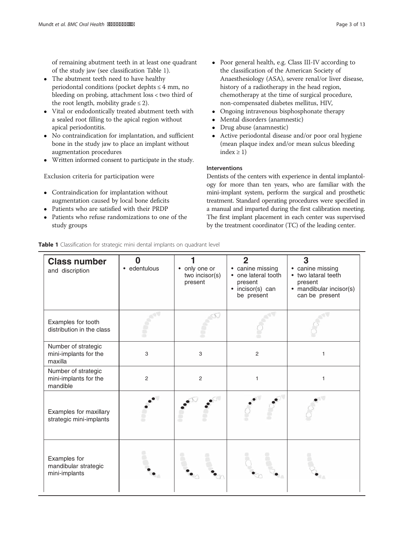<span id="page-2-0"></span>of remaining abutment teeth in at least one quadrant of the study jaw (see classification Table 1).

- The abutment teeth need to have healthy periodontal conditions (pocket dephts ≤ 4 mm, no bleeding on probing, attachment loss < two third of the root length, mobility grade  $\leq$  2).
- Vital or endodontically treated abutment teeth with a sealed root filling to the apical region without apical periodontitis.
- No contraindication for implantation, and sufficient bone in the study jaw to place an implant without augmentation procedures
- Written informed consent to participate in the study.

Exclusion criteria for participation were

- Contraindication for implantation without augmentation caused by local bone deficits
- Patients who are satisfied with their PRDP
- Patients who refuse randomizations to one of the study groups
- Poor general health, e.g. Class III-IV according to the classification of the American Society of Anaesthesiology (ASA), severe renal/or liver disease, history of a radiotherapy in the head region,
- chemotherapy at the time of surgical procedure, non-compensated diabetes mellitus, HIV,
- Ongoing intravenous bisphosphonate therapy
- Mental disorders (anamnestic)
- Drug abuse (anamnestic)
- Active periodontal disease and/or poor oral hygiene (mean plaque index and/or mean sulcus bleeding index  $\geq$  1)

# Interventions

Dentists of the centers with experience in dental implantology for more than ten years, who are familiar with the mini-implant system, perform the surgical and prosthetic treatment. Standard operating procedures were specified in a manual and imparted during the first calibration meeting. The first implant placement in each center was supervised by the treatment coordinator (TC) of the leading center.

Table 1 Classification for strategic mini dental implants on quadrant level

| <b>Class number</b><br>and discription                   | $\bf{0}$<br>• edentulous | • only one or<br>two incisor(s)<br>present | $\overline{2}$<br>• canine missing<br>one lateral tooth<br>$\bullet$<br>present<br>· incisor(s) can<br>be present | 3<br>• canine missing<br>• two lataral teeth<br>present<br>• mandibular incisor(s)<br>can be present |
|----------------------------------------------------------|--------------------------|--------------------------------------------|-------------------------------------------------------------------------------------------------------------------|------------------------------------------------------------------------------------------------------|
| Examples for tooth<br>distribution in the class          |                          |                                            |                                                                                                                   |                                                                                                      |
| Number of strategic<br>mini-implants for the<br>maxilla  | 3                        | 3                                          | $\overline{2}$                                                                                                    | 1                                                                                                    |
| Number of strategic<br>mini-implants for the<br>mandible | $\overline{2}$           | $\overline{2}$                             | 1                                                                                                                 | 1                                                                                                    |
| Examples for maxillary<br>strategic mini-implants        |                          |                                            |                                                                                                                   |                                                                                                      |
| Examples for<br>mandibular strategic<br>mini-implants    |                          |                                            |                                                                                                                   |                                                                                                      |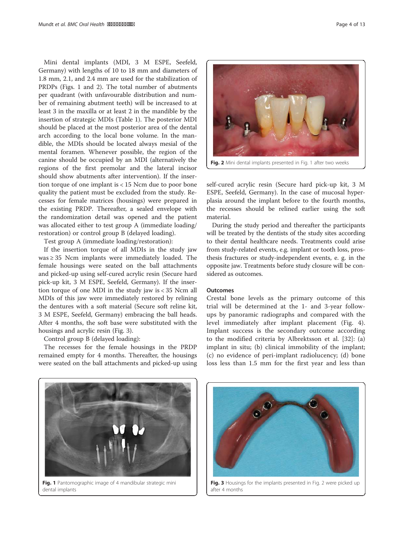Mini dental implants (MDI, 3 M ESPE, Seefeld, Germany) with lengths of 10 to 18 mm and diameters of 1.8 mm, 2.1, and 2.4 mm are used for the stabilization of PRDPs (Figs. 1 and 2). The total number of abutments per quadrant (with unfavourable distribution and number of remaining abutment teeth) will be increased to at least 3 in the maxilla or at least 2 in the mandible by the insertion of strategic MDIs (Table [1\)](#page-2-0). The posterior MDI should be placed at the most posterior area of the dental arch according to the local bone volume. In the mandible, the MDIs should be located always mesial of the mental foramen. Whenever possible, the region of the canine should be occupied by an MDI (alternatively the regions of the first premolar and the lateral incisor should show abutments after intervention). If the insertion torque of one implant is < 15 Ncm due to poor bone quality the patient must be excluded from the study. Recesses for female matrices (housings) were prepared in the existing PRDP. Thereafter, a sealed envelope with the randomization detail was opened and the patient was allocated either to test group A (immediate loading/ restoration) or control group B (delayed loading).

Test group A (immediate loading/restoration):

If the insertion torque of all MDIs in the study jaw was ≥ 35 Ncm implants were immediately loaded. The female housings were seated on the ball attachments and picked-up using self-cured acrylic resin (Secure hard pick-up kit, 3 M ESPE, Seefeld, Germany). If the insertion torque of one MDI in the study jaw is < 35 Ncm all MDIs of this jaw were immediately restored by relining the dentures with a soft material (Secure soft reline kit, 3 M ESPE, Seefeld, Germany) embracing the ball heads. After 4 months, the soft base were substituted with the housings and acrylic resin (Fig. 3).

Control group B (delayed loading):

The recesses for the female housings in the PRDP remained empty for 4 months. Thereafter, the housings were seated on the ball attachments and picked-up using



self-cured acrylic resin (Secure hard pick-up kit, 3 M ESPE, Seefeld, Germany). In the case of mucosal hyperplasia around the implant before to the fourth months, the recesses should be relined earlier using the soft material.

During the study period and thereafter the participants will be treated by the dentists of the study sites according to their dental healthcare needs. Treatments could arise from study-related events, e.g. implant or tooth loss, prosthesis fractures or study-independent events, e. g. in the opposite jaw. Treatments before study closure will be considered as outcomes.

# **Outcomes**

Crestal bone levels as the primary outcome of this trial will be determined at the 1- and 3-year followups by panoramic radiographs and compared with the level immediately after implant placement (Fig. [4](#page-4-0)). Implant success is the secondary outcome according to the modified criteria by Albrektsson et al. [[32\]](#page-12-0): (a) implant in situ; (b) clinical immobility of the implant; (c) no evidence of peri-implant radiolucency; (d) bone loss less than 1.5 mm for the first year and less than



Fig. 1 Pantomographic image of 4 mandibular strategic mini dental implants



Fig. 3 Housings for the implants presented in Fig. 2 were picked up after 4 months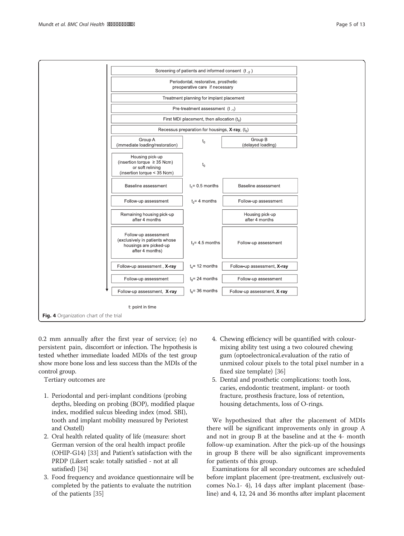<span id="page-4-0"></span>

0.2 mm annually after the first year of service; (e) no persistent pain, discomfort or infection. The hypothesis is tested whether immediate loaded MDIs of the test group show more bone loss and less success than the MDIs of the control group.

Tertiary outcomes are

- 1. Periodontal and peri-implant conditions (probing depths, bleeding on probing (BOP), modified plaque index, modified sulcus bleeding index (mod. SBI), tooth and implant mobility measured by Periotest and Osstell)
- 2. Oral health related quality of life (measure: short German version of the oral health impact profile (OHIP-G14) [[33](#page-12-0)] and Patient's satisfaction with the PRDP (Likert scale: totally satisfied - not at all satisfied) [[34](#page-12-0)]
- 3. Food frequency and avoidance questionnaire will be completed by the patients to evaluate the nutrition of the patients [\[35](#page-12-0)]
- 4. Chewing efficiency will be quantified with colourmixing ability test using a two coloured chewing gum (optoelectronical.evaluation of the ratio of unmixed colour pixels to the total pixel number in a fixed size template) [[36](#page-12-0)]
- 5. Dental and prosthetic complications: tooth loss, caries, endodontic treatment, implant- or tooth fracture, prosthesis fracture, loss of retention, housing detachments, loss of O-rings.

We hypothesized that after the placement of MDIs there will be significant improvements only in group A and not in group B at the baseline and at the 4- month follow-up examination. After the pick-up of the housings in group B there will be also significant improvements for patients of this group.

Examinations for all secondary outcomes are scheduled before implant placement (pre-treatment, exclusively outcomes No.1- 4), 14 days after implant placement (baseline) and 4, 12, 24 and 36 months after implant placement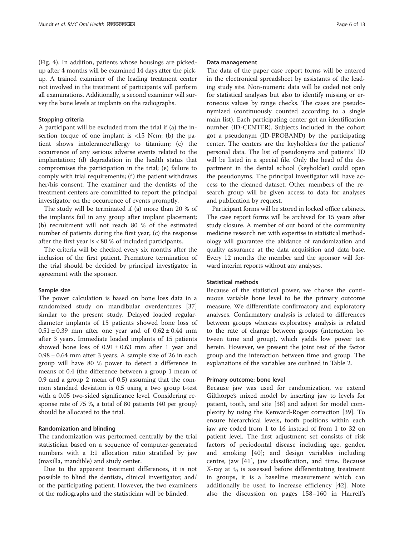(Fig. [4](#page-4-0)). In addition, patients whose housings are pickedup after 4 months will be examined 14 days after the pickup. A trained examiner of the leading treatment center not involved in the treatment of participants will perform all examinations. Additionally, a second examiner will survey the bone levels at implants on the radiographs.

# Stopping criteria

A participant will be excluded from the trial if (a) the insertion torque of one implant is  $\langle 15 \text{ Ncm} \rangle$  (b) the patient shows intolerance/allergy to titanium; (c) the occurrence of any serious adverse events related to the implantation; (d) degradation in the health status that compromises the participation in the trial; (e) failure to comply with trial requirements;  $(f)$  the patient withdraws her/his consent. The examiner and the dentists of the treatment centers are committed to report the principal investigator on the occurrence of events promptly.

The study will be terminated if (a) more than 20 % of the implants fail in any group after implant placement; (b) recruitment will not reach 80 % of the estimated number of patients during the first year; (c) the response after the first year is < 80 % of included participants.

The criteria will be checked every six months after the inclusion of the first patient. Premature termination of the trial should be decided by principal investigator in agreement with the sponsor.

#### Sample size

The power calculation is based on bone loss data in a randomized study on mandibular overdentures [[37](#page-12-0)] similar to the present study. Delayed loaded regulardiameter implants of 15 patients showed bone loss of  $0.51 \pm 0.39$  mm after one year and of  $0.62 \pm 0.44$  mm after 3 years. Immediate loaded implants of 15 patients showed bone loss of  $0.91 \pm 0.63$  mm after 1 year and  $0.98 \pm 0.64$  mm after 3 years. A sample size of 26 in each group will have 80 % power to detect a difference in means of 0.4 (the difference between a group 1 mean of 0.9 and a group 2 mean of 0.5) assuming that the common standard deviation is 0.5 using a two group t-test with a 0.05 two-sided significance level. Considering response rate of 75 %, a total of 80 patients (40 per group) should be allocated to the trial.

# Randomization and blinding

The randomization was performed centrally by the trial statistician based on a sequence of computer-generated numbers with a 1:1 allocation ratio stratified by jaw (maxilla, mandible) and study center.

Due to the apparent treatment differences, it is not possible to blind the dentists, clinical investigator, and/ or the participating patient. However, the two examiners of the radiographs and the statistician will be blinded.

#### Data management

The data of the paper case report forms will be entered in the electronical spreadsheet by assistants of the leading study site. Non-numeric data will be coded not only for statistical analyses but also to identify missing or erroneous values by range checks. The cases are pseudonymized (continuously counted according to a single main list). Each participating center got an identification number (ID-CENTER). Subjects included in the cohort got a pseudonym (ID-PROBAND) by the participating center. The centers are the keyholders for the patients' personal data. The list of pseudonyms and patients´ ID will be listed in a special file. Only the head of the department in the dental school (keyholder) could open the pseudonyms. The principal investigator will have access to the cleaned dataset. Other members of the research group will be given access to data for analyses and publication by request.

Participant forms will be stored in locked office cabinets. The case report forms will be archived for 15 years after study closure. A member of our board of the community medicine research net with expertise in statistical methodology will guarantee the abidance of randomization and quality assurance at the data acquisition and data base. Every 12 months the member and the sponsor will forward interim reports without any analyses.

# Statistical methods

Because of the statistical power, we choose the continuous variable bone level to be the primary outcome measure. We differentiate confirmatory and exploratory analyses. Confirmatory analysis is related to differences between groups whereas exploratory analysis is related to the rate of change between groups (interaction between time and group), which yields low power test herein. However, we present the joint test of the factor group and the interaction between time and group. The explanations of the variables are outlined in Table [2](#page-6-0).

#### Primary outcome: bone level

Because jaw was used for randomization, we extend Gilthorpe's mixed model by inserting jaw to levels for patient, tooth, and site [[38](#page-12-0)] and adjust for model complexity by using the Kenward-Roger correction [[39\]](#page-12-0). To ensure hierarchical levels, tooth positions within each jaw are coded from 1 to 16 instead of from 1 to 32 on patient level. The first adjustment set consists of risk factors of periodontal disease including age, gender, and smoking [\[40](#page-12-0)]; and design variables including centre, jaw [[41\]](#page-12-0), jaw classification, and time. Because X-ray at  $t_0$  is assessed before differentiating treatment in groups, it is a baseline measurement which can additionally be used to increase efficiency [[42\]](#page-12-0). Note also the discussion on pages 158–160 in Harrell's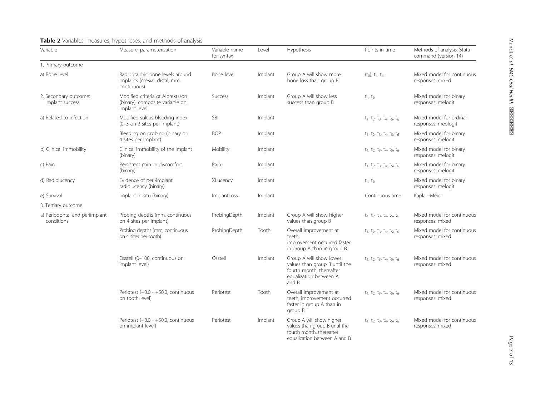# <span id="page-6-0"></span>Table 2 Variables, measures, hypotheses, and methods of analysis

| Variable                                     | Measure, parameterization                                                            | Variable name<br>for syntax | Level   | Hypothesis                                                                                                              | Points in time                                | Methods of analysis: Stata<br>command (version 14) |
|----------------------------------------------|--------------------------------------------------------------------------------------|-----------------------------|---------|-------------------------------------------------------------------------------------------------------------------------|-----------------------------------------------|----------------------------------------------------|
| 1. Primary outcome                           |                                                                                      |                             |         |                                                                                                                         |                                               |                                                    |
| a) Bone level                                | Radiographic bone levels around<br>implants (mesial, distal, mm,<br>continuous)      | Bone level                  | Implant | Group A will show more<br>bone loss than group B                                                                        | $(t_0)$ , $t_4$ , $t_6$                       | Mixed model for continuous<br>responses: mixed     |
| 2. Secondary outcome:<br>Implant success     | Modified criteria of Albrektsson<br>(binary): composite variable on<br>implant level | <b>Success</b>              | Implant | Group A will show less<br>success than group B                                                                          | $t_4, t_6$                                    | Mixed model for binary<br>responses: melogit       |
| a) Related to infection                      | Modified sulcus bleeding index<br>(0-3 on 2 sites per implant)                       | <b>SBI</b>                  | Implant |                                                                                                                         | $t_1$ , $t_2$ , $t_3$ , $t_4$ , $t_5$ , $t_6$ | Mixed model for ordinal<br>responses: meologit     |
|                                              | Bleeding on probing (binary on<br>4 sites per implant)                               | <b>BOP</b>                  | Implant |                                                                                                                         | $t_1$ , $t_2$ , $t_3$ , $t_4$ , $t_5$ , $t_6$ | Mixed model for binary<br>responses: melogit       |
| b) Clinical immobility                       | Clinical immobility of the implant<br>(binary)                                       | Mobility                    | Implant |                                                                                                                         | $t_1$ , $t_2$ , $t_3$ , $t_4$ , $t_5$ , $t_6$ | Mixed model for binary<br>responses: melogit       |
| c) Pain                                      | Persistent pain or discomfort<br>(binary)                                            | Pain                        | Implant |                                                                                                                         | $t_1$ , $t_2$ , $t_3$ , $t_4$ , $t_5$ , $t_6$ | Mixed model for binary<br>responses: melogit       |
| d) Radiolucency                              | Evidence of peri-implant<br>radiolucency (binary)                                    | XLucency                    | Implant |                                                                                                                         | $t_4$ , $t_6$                                 | Mixed model for binary<br>responses: melogit       |
| e) Survival                                  | Implant in situ (binary)                                                             | ImplantLoss                 | Implant |                                                                                                                         | Continuous time                               | Kaplan-Meier                                       |
| 3. Tertiary outcome                          |                                                                                      |                             |         |                                                                                                                         |                                               |                                                    |
| a) Periodontal and periimplant<br>conditions | Probing depths (mm, continuous<br>on 4 sites per implant)                            | ProbingDepth                | Implant | Group A will show higher<br>values than group B                                                                         | $t_1$ , $t_2$ , $t_3$ , $t_4$ , $t_5$ , $t_6$ | Mixed model for continuous<br>responses: mixed     |
|                                              | Probing depths (mm, continuous<br>on 4 sites per tooth)                              | ProbingDepth                | Tooth   | Overall improvement at<br>teeth.<br>improvement occurred faster<br>in group A than in group B                           | $t_1$ , $t_2$ , $t_3$ , $t_4$ , $t_5$ , $t_6$ | Mixed model for continuous<br>responses: mixed     |
|                                              | Osstell (0-100, continuous on<br>implant level)                                      | Osstell                     | Implant | Group A will show lower<br>values than group B until the<br>fourth month, thereafter<br>equalization between A<br>and B | $t_1$ , $t_2$ , $t_3$ , $t_4$ , $t_5$ , $t_6$ | Mixed model for continuous<br>responses: mixed     |
|                                              | Periotest (-8.0 - +50.0, continuous<br>on tooth level)                               | Periotest                   | Tooth   | Overall improvement at<br>teeth, improvement occurred<br>faster in group A than in<br>group B                           | $t_1$ , $t_2$ , $t_3$ , $t_4$ , $t_5$ , $t_6$ | Mixed model for continuous<br>responses: mixed     |
|                                              | Periotest (-8.0 - +50.0, continuous<br>on implant level)                             | Periotest                   | Implant | Group A will show higher<br>values than group B until the<br>fourth month, thereafter<br>equalization between A and B   | $t_1$ , $t_2$ , $t_3$ , $t_4$ , $t_5$ , $t_6$ | Mixed model for continuous<br>responses: mixed     |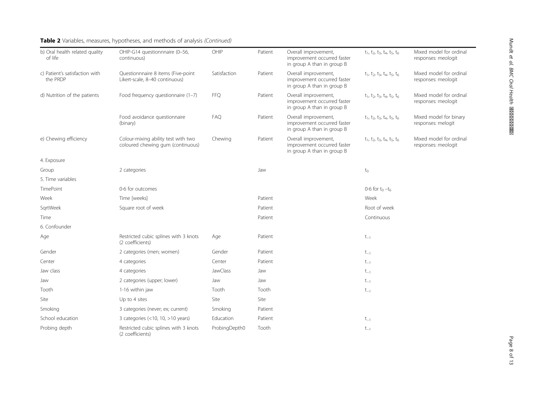| b) Oral health related quality<br>of life  | OHIP-G14 questionnnaire (0-56,<br>continuous)                            | OHIP            | Patient | Overall improvement,<br>improvement occurred faster<br>in group A than in group B | $t_1$ , $t_2$ , $t_3$ , $t_4$ , $t_5$ , $t_6$ | Mixed model for ordinal<br>responses: meologit |
|--------------------------------------------|--------------------------------------------------------------------------|-----------------|---------|-----------------------------------------------------------------------------------|-----------------------------------------------|------------------------------------------------|
| c) Patient's satisfaction with<br>the PRDP | Questionnnaire 8 items (Five-point<br>Likert-scale, 8-40 continuous)     | Satisfaction    | Patient | Overall improvement,<br>improvement occurred faster<br>in group A than in group B | $t_1$ , $t_2$ , $t_3$ , $t_4$ , $t_5$ , $t_6$ | Mixed model for ordinal<br>responses: meologit |
| d) Nutrition of the patients               | Food frequency questionnaire (1-7)                                       | <b>FFQ</b>      | Patient | Overall improvement,<br>improvement occurred faster<br>in group A than in group B | $t_1$ , $t_2$ , $t_3$ , $t_4$ , $t_5$ , $t_6$ | Mixed model for ordinal<br>responses: meologit |
|                                            | Food avoidance questionnaire<br>(binary)                                 | <b>FAQ</b>      | Patient | Overall improvement,<br>improvement occurred faster<br>in group A than in group B | $t_1$ , $t_2$ , $t_3$ , $t_4$ , $t_5$ , $t_6$ | Mixed model for binary<br>responses: melogit   |
| e) Chewing efficiency                      | Colour-mixing ability test with two<br>coloured chewing gum (continuous) | Chewing         | Patient | Overall improvement,<br>improvement occurred faster<br>in group A than in group B | $t_1$ , $t_2$ , $t_3$ , $t_4$ , $t_5$ , $t_6$ | Mixed model for ordinal<br>responses: meologit |
| 4. Exposure                                |                                                                          |                 |         |                                                                                   |                                               |                                                |
| Group                                      | 2 categories                                                             |                 | Jaw     |                                                                                   | $t_0$                                         |                                                |
| 5. Time variables                          |                                                                          |                 |         |                                                                                   |                                               |                                                |
| <b>TimePoint</b>                           | 0-6 for outcomes                                                         |                 |         |                                                                                   | 0-6 for $t_0 - t_6$                           |                                                |
| Week                                       | Time [weeks]                                                             |                 | Patient |                                                                                   | Week                                          |                                                |
| SqrtWeek                                   | Square root of week                                                      |                 | Patient |                                                                                   | Root of week                                  |                                                |
| Time                                       |                                                                          |                 | Patient |                                                                                   | Continuous                                    |                                                |
| 6. Confounder                              |                                                                          |                 |         |                                                                                   |                                               |                                                |
| Age                                        | Restricted cubic splines with 3 knots<br>(2 coefficients)                | Age             | Patient |                                                                                   | $t_{-1}$                                      |                                                |
| Gender                                     | 2 categories (men; women)                                                | Gender          | Patient |                                                                                   | $t_{-1}$                                      |                                                |
| Center                                     | 4 categories                                                             | Center          | Patient |                                                                                   | $t_{-1}$                                      |                                                |
| Jaw class                                  | 4 categories                                                             | <b>JawClass</b> | Jaw     |                                                                                   | $t_{-1}$                                      |                                                |
| Jaw                                        | 2 categories (upper; lower)                                              | Jaw             | Jaw     |                                                                                   | $t_{-1}$                                      |                                                |
| Tooth                                      | 1-16 within jaw                                                          | Tooth           | Tooth   |                                                                                   | $t_{-1}$                                      |                                                |
| Site                                       | Up to 4 sites                                                            | Site            | Site    |                                                                                   |                                               |                                                |
| Smoking                                    | 3 categories (never; ex; current)                                        | Smoking         | Patient |                                                                                   |                                               |                                                |
| School education                           | 3 categories (<10, 10, >10 years)                                        | Education       | Patient |                                                                                   | $t_{-1}$                                      |                                                |
| Probing depth                              | Restricted cubic splines with 3 knots<br>(2 coefficients)                | ProbingDepth0   | Tooth   |                                                                                   | $t_{-1}$                                      |                                                |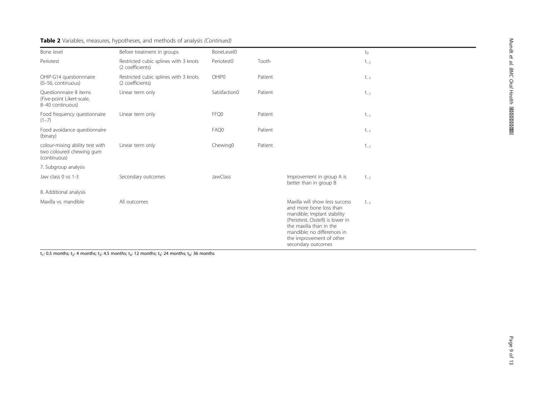# Table 2 Variables, measures, hypotheses, and methods of analysis (Continued)

| Bone level                                                                  | Before treatment in groups                                | BoneLevel0        |         |                                                                                                                                                                                                                                          | $t_0$    |  |
|-----------------------------------------------------------------------------|-----------------------------------------------------------|-------------------|---------|------------------------------------------------------------------------------------------------------------------------------------------------------------------------------------------------------------------------------------------|----------|--|
| Periotest                                                                   | Restricted cubic splines with 3 knots<br>(2 coefficients) | Periotest0        | Tooth   |                                                                                                                                                                                                                                          | $t_{-1}$ |  |
| OHIP-G14 questionnnaire<br>(0-56, continuous)                               | Restricted cubic splines with 3 knots<br>(2 coefficients) | OHIP <sub>0</sub> | Patient |                                                                                                                                                                                                                                          | $t_{-1}$ |  |
| Questionnnaire 8 items<br>(Five-point Likert-scale,<br>8-40 continuous)     | Linear term only                                          | Satisfaction0     | Patient |                                                                                                                                                                                                                                          | $t_{-1}$ |  |
| Food frequency questionnaire<br>$(1 - 7)$                                   | Linear term only                                          | FFQ0              | Patient |                                                                                                                                                                                                                                          | $t_{-1}$ |  |
| Food avoidance questionnaire<br>(binary)                                    |                                                           | FAQ0              | Patient |                                                                                                                                                                                                                                          | $t_{-1}$ |  |
| colour-mixing ability test with<br>two coloured chewing gum<br>(continuous) | Linear term only                                          | Chewing0          | Patient |                                                                                                                                                                                                                                          | $t_{-1}$ |  |
| 7. Subgroup analysis                                                        |                                                           |                   |         |                                                                                                                                                                                                                                          |          |  |
| Jaw class 0 vs 1-3                                                          | Secondary outcomes                                        | JawClass          |         | Improvement in group A is<br>better than in group B                                                                                                                                                                                      | $t_{-1}$ |  |
| 8. Additional analysis                                                      |                                                           |                   |         |                                                                                                                                                                                                                                          |          |  |
| Maxilla vs. mandible                                                        | All outcomes                                              |                   |         | Maxilla will show less success<br>and more bone loss than<br>mandible; Implant stability<br>(Periotest, Osstell) is lower in<br>the maxilla than in the<br>mandible; no differences in<br>the improvement of other<br>secondary outcomes | $t_{-1}$ |  |

 $t_1$ : 0.5 months;  $t_2$ : 4 months;  $t_3$ : 4.5 months;  $t_4$ : 12 months;  $t_5$ : 24 months;  $t_6$ : 36 months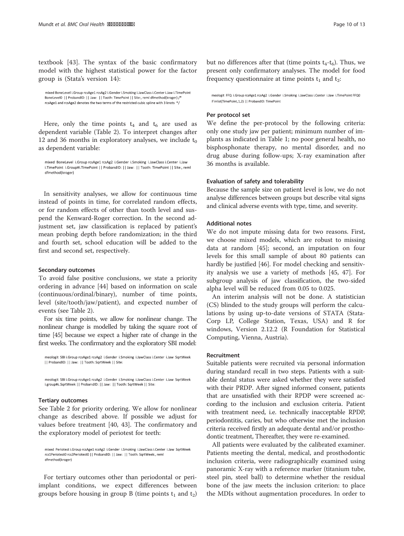textbook [[43](#page-12-0)]. The syntax of the basic confirmatory model with the highest statistical power for the factor group is (Stata's version 14):

mixed BoneLevel i.Group rcsAge1 rcsAg2 i.Gender i.Smoking i.JawClass i.Center i.Jaw i.TimePoint BoneLevel0 || ProbandID: || Jaw: || Tooth: TimePoint || Site:, reml dfmethod(kroger) /\*  $r \in \Delta$ ge1 and  $r \in \Delta$ ge2 denotes the two terms of the restricted cubic spline with 3 knots  $*/$ 

Here, only the time points  $t_4$  and  $t_6$  are used as dependent variable (Table [2](#page-6-0)). To interpret changes after 12 and 36 months in exploratory analyses, we include  $t_0$ as dependent variable:

mixed BoneLevel i.Group rcsAge1 rcsAg2 i.Gender i.Smoking i.JawClass i.Center i.Jaw i.TimePoint i.Group#i.TimePoint | | ProbandID: | | Jaw: | | Tooth: TimePoint | | Site:, reml dfmethod(kroger)

In sensitivity analyses, we allow for continuous time instead of points in time, for correlated random effects, or for random effects of other than tooth level and suspend the Kenward-Roger correction. In the second adjustment set, jaw classification is replaced by patient's mean probing depth before randomization; in the third and fourth set, school education will be added to the first and second set, respectively.

#### Secondary outcomes

To avoid false positive conclusions, we state a priority ordering in advance [[44](#page-12-0)] based on information on scale (continuous/ordinal/binary), number of time points, level (site/tooth/jaw/patient), and expected number of events (see Table [2\)](#page-6-0).

For six time points, we allow for nonlinear change. The nonlinear change is modelled by taking the square root of time [\[45](#page-12-0)] because we expect a higher rate of change in the first weeks. The confirmatory and the exploratory SBI model:

neologit SBI i.Group rcsAge1 rcsAg2 i.Gender i.Smoking i.JawClass i.Center i.Jaw SqrtWeek || ProbandID: || Jaw: || Tooth: SqrtWeek || Site:

meologit, SBI i.Group rcsAge1 rcsAg2, i.Gender, i.Smoking, i.JawClass i.Center, i.Jaw, SortWeek i.group#c.SqrtWeek || ProbandID: || Jaw: || Tooth: SqrtWeek || Site:

#### Tertiary outcomes

See Table [2](#page-6-0) for priority ordering. We allow for nonlinear change as described above. If possible we adjust for values before treatment [[40, 43\]](#page-12-0). The confirmatory and the exploratory model of periotest for teeth:

mixed Periotest i.Group rcsAge1 rcsAg2 i.Gender i.Smoking i.JawClass i.Center i.Jaw SgrtWeek rcs1Periotest0 rcs2Periotest0 | | ProbandID: | | Jaw: | | Tooth: SqrtWeek:. reml dfmethod(kroger)

For tertiary outcomes other than periodontal or periimplant conditions, we expect differences between groups before housing in group B (time points  $t_1$  and  $t_2$ )

but no differences after that (time points  $t_4-t_6$ ). Thus, we present only confirmatory analyses. The model for food frequency questionnaire at time points  $t_1$  and  $t_2$ :

meologit FFO i.Group rcsAge1 rcsAg2 i.Gender i.Smoking i.JawClass i.Center i.Jaw i.TimePoint FFO0 if inlist(TimePoint.1.2) | | ProbandID: TimePoint

#### Per protocol set

We define the per-protocol by the following criteria: only one study jaw per patient; minimum number of implants as indicated in Table [1;](#page-2-0) no poor general health, no bisphosphonate therapy, no mental disorder, and no drug abuse during follow-ups; X-ray examination after 36 months is available.

# Evaluation of safety and tolerability

Because the sample size on patient level is low, we do not analyse differences between groups but describe vital signs and clinical adverse events with type, time, and severity.

#### Additional notes

We do not impute missing data for two reasons. First, we choose mixed models, which are robust to missing data at random [[45\]](#page-12-0); second, an imputation on four levels for this small sample of about 80 patients can hardly be justified [\[46\]](#page-12-0). For model checking and sensitivity analysis we use a variety of methods [[45, 47](#page-12-0)]. For subgroup analysis of jaw classification, the two-sided alpha level will be reduced from 0.05 to 0.025.

An interim analysis will not be done. A statistician (CS) blinded to the study groups will perform the calculations by using up-to-date versions of STATA (Stata-Corp LP, College Station, Texas, USA) and R for windows, Version 2.12.2 (R Foundation for Statistical Computing, Vienna, Austria).

### Recruitment

Suitable patients were recruited via personal information during standard recall in two steps. Patients with a suitable dental status were asked whether they were satisfied with their PRDP. After signed informed consent, patients that are unsatisfied with their RPDP were screened according to the inclusion and exclusion criteria. Patient with treatment need, i.e. technically inacceptable RPDP, periodontitis, caries, but who otherwise met the inclusion criteria received firstly an adequate dental and/or prosthodontic treatment, Thereafter, they were re-examined.

All patients were evaluated by the calibrated examiner. Patients meeting the dental, medical, and prosthodontic inclusion criteria, were radiographically examined using panoramic X-ray with a reference marker (titanium tube, steel pin, steel ball) to determine whether the residual bone of the jaw meets the inclusion criterion: to place the MDIs without augmentation procedures. In order to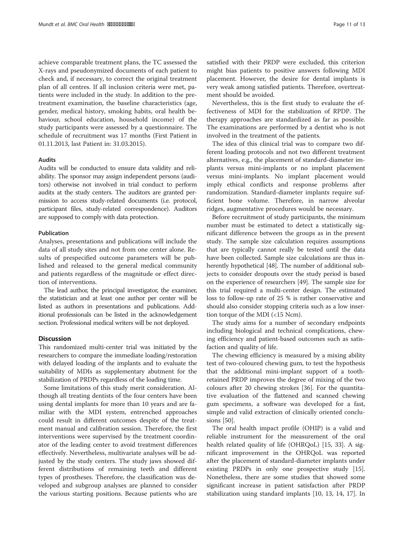achieve comparable treatment plans, the TC assessed the X-rays and pseudonymized documents of each patient to check and, if necessary, to correct the original treatment plan of all centres. If all inclusion criteria were met, patients were included in the study. In addition to the pretreatment examination, the baseline characteristics (age, gender, medical history, smoking habits, oral health behaviour, school education, household income) of the study participants were assessed by a questionnaire. The schedule of recruitment was 17 months (First Patient in 01.11.2013, last Patient in: 31.03.2015).

## Audits

Audits will be conducted to ensure data validity and reliability. The sponsor may assign independent persons (auditors) otherwise not involved in trial conduct to perform audits at the study centers. The auditors are granted permission to access study-related documents (i.e. protocol, participant files, study-related correspondence). Auditors are supposed to comply with data protection.

# Publication

Analyses, presentations and publications will include the data of all study sites and not from one center alone. Results of prespecified outcome parameters will be published and released to the general medical community and patients regardless of the magnitude or effect direction of interventions.

The lead author, the principal investigator, the examiner, the statistician and at least one author per center will be listed as authors in presentations and publications. Additional professionals can be listed in the acknowledgement section. Professional medical writers will be not deployed.

## **Discussion**

This randomized multi-center trial was initiated by the researchers to compare the immediate loading/restoration with delayed loading of the implants and to evaluate the suitability of MDIs as supplementary abutment for the stabilization of PRDPs regardless of the loading time.

Some limitations of this study merit consideration. Although all treating dentists of the four centers have been using dental implants for more than 10 years and are familiar with the MDI system, entrenched approaches could result in different outcomes despite of the treatment manual and calibration session. Therefore, the first interventions were supervised by the treatment coordinator of the leading center to avoid treatment differences effectively. Nevertheless, multivariate analyses will be adjusted by the study centers. The study jaws showed different distributions of remaining teeth and different types of prostheses. Therefore, the classification was developed and subgroup analyses are planned to consider the various starting positions. Because patients who are satisfied with their PRDP were excluded, this criterion might bias patients to positive answers following MDI placement. However, the desire for dental implants is very weak among satisfied patients. Therefore, overtreatment should be avoided.

Nevertheless, this is the first study to evaluate the effectiveness of MDI for the stabilization of RPDP. The therapy approaches are standardized as far as possible. The examinations are performed by a dentist who is not involved in the treatment of the patients.

The idea of this clinical trial was to compare two different loading protocols and not two different treatment alternatives, e.g., the placement of standard-diameter implants versus mini-implants or no implant placement versus mini-implants. No implant placement would imply ethical conflicts and response problems after randomization. Standard-diameter implants require sufficient bone volume. Therefore, in narrow alveolar ridges, augmentative procedures would be necessary.

Before recruitment of study participants, the minimum number must be estimated to detect a statistically significant difference between the groups as in the present study. The sample size calculation requires assumptions that are typically cannot really be tested until the data have been collected. Sample size calculations are thus in-herently hypothetical [[48](#page-12-0)]. The number of additional subjects to consider dropouts over the study period is based on the experience of researchers [[49](#page-12-0)]. The sample size for this trial required a multi-center design. The estimated loss to follow-up rate of 25 % is rather conservative and should also consider stopping criteria such as a low insertion torque of the MDI (<15 Ncm).

The study aims for a number of secondary endpoints including biological and technical complications, chewing efficiency and patient-based outcomes such as satisfaction and quality of life.

The chewing efficiency is measured by a mixing ability test of two-coloured chewing gum, to test the hypothesis that the additional mini-implant support of a toothretained PRDP improves the degree of mixing of the two colours after 20 chewing strokes [[36\]](#page-12-0). For the quantitative evaluation of the flattened and scanned chewing gum specimens, a software was developed for a fast, simple and valid extraction of clinically oriented conclusions [\[50](#page-12-0)].

The oral health impact profile (OHIP) is a valid and reliable instrument for the measurement of the oral health related quality of life (OHRQoL) [\[15, 33\]](#page-12-0). A significant improvement in the OHRQoL was reported after the placement of standard-diameter implants under existing PRDPs in only one prospective study [\[15](#page-12-0)]. Nonetheless, there are some studies that showed some significant increase in patient satisfaction after PRDP stabilization using standard implants [\[10](#page-11-0), [13, 14](#page-12-0), [17\]](#page-12-0). In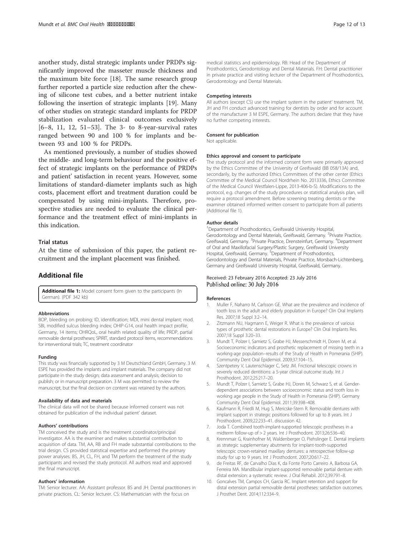<span id="page-11-0"></span>another study, distal strategic implants under PRDPs significantly improved the masseter muscle thickness and the maximum bite force [\[18](#page-12-0)]. The same research group further reported a particle size reduction after the chewing of silicone test cubes, and a better nutrient intake following the insertion of strategic implants [\[19\]](#page-12-0). Many of other studies on strategic standard implants for PRDP stabilization evaluated clinical outcomes exclusively [6–8, [11](#page-12-0), [12, 51](#page-12-0)–[53](#page-12-0)]. The 3- to 8-year-survival rates ranged between 90 and 100 % for implants and between 93 and 100 % for PRDPs.

As mentioned previously, a number of studies showed the middle- and long-term behaviour and the positive effect of strategic implants on the performance of PRDPs and patient' satisfaction in recent years. However, some limitations of standard-diameter implants such as high costs, placement effort and treatment duration could be compensated by using mini-implants. Therefore, prospective studies are needed to evaluate the clinical performance and the treatment effect of mini-implants in this indication.

#### Trial status

At the time of submission of this paper, the patient recruitment and the implant placement was finished.

# Additional file

[Additional file 1:](dx.doi.org/10.1186/s12903-016-0259-z) Model consent form given to the participants (In German). (PDF 342 kb)

#### Abbreviations

BOP, bleeding on probing; ID, identification; MDI, mini dental implant; mod. SBI, modified sulcus bleeding index; OHIP-G14, oral health impact profile, Germany, 14 items; OHRQoL, oral health related quality of life; PRDP, partial removable dental prostheses; SPIRIT, standard protocol items, recommendations for interventional trials; TC, treatment coordinator

#### Funding

This study was financially supported by 3 M Deutschland GmbH, Germany. 3 M ESPE has provided the implants and implant materials. The company did not participate in the study design; data assessment and analysis; decision to publish; or in manuscript preparation. 3 M was permitted to review the manuscript, but the final decision on content was retained by the authors.

#### Availability of data and materials

The clinical data will not be shared because informed consent was not obtained for publication of the individual patient' dataset.

#### Authors' contributions

TM conceived the study and is the treatment coordinator/principal investigator. AA is the examiner and makes substantial contribution to acquisition of data. TM, AA, RB and FH made substantial contributions to the trial design. CS provided statistical expertise and performed the primary power analyses. BS, JH, CL, FH, and TM perform the treatment of the study participants and revised the study protocol. All authors read and approved the final manuscript.

#### Authors' information

TM: Senior lecturer. AA: Assistant professor. BS and JH: Dental practitioners in private practices. CL: Senior lecturer. CS: Mathematician with the focus on

medical statistics and epidemiology. RB: Head of the Department of Prosthodontics, Gerodontology and Dental Materials. FH: Dental practitioner in private practice and visiting lecturer of the Department of Prosthodontics, Gerodontology and Dental Materials.

#### Competing interests

All authors (except CS) use the implant system in the patient' treatment. TM, JH and FH conduct advanced training for dentists by order and for account of the manufacturer 3 M ESPE, Germany. The authors declare that they have no further competing interests.

#### Consent for publication

Not applicable.

#### Ethics approval and consent to participate

The study protocol and the informed consent form were primarily approved by the Ethics Committee of the University of Greifswald (BB 058/13A) and, secondarily, by the authorized Ethics Committees of the other center (Ethics Committee of the Medical Council Nordrhein No. 2013336, Ethics Committee of the Medical Council Westfalen-Lippe, 2013-406-b-S). Modifications to the protocol, e.g. changes of the study procedures or statistical analysis plan, will require a protocol amendment. Before screening treating dentists or the examiner obtained informed written consent to participate from all patients (Additional file 1).

#### Author details

<sup>1</sup>Department of Prosthodontics, Greifswald University Hospital, Gerodontology and Dental Materials, Greifswald, Germany. <sup>2</sup>Private Practice, Greifswald, Germany. <sup>3</sup>Private Practice, Drensteinfurt, Germany. <sup>4</sup>Department of Oral and Maxillofacial Surgery/Plastic Surgery, Greifswald University Hospital, Greifswald, Germany. <sup>5</sup>Department of Prosthodontics, Gerodontology and Dental Materials, Private Practice, Morsbach-Lichtenberg, Germany and Greifswald University Hospital, Greifswald, Germany.

# Received: 23 February 2016 Accepted: 23 July 2016 Published online: 30 July 2016

#### References

- 1. Muller F, Naharro M, Carlsson GE. What are the prevalence and incidence of tooth loss in the adult and elderly population in Europe? Clin Oral Implants Res. 2007;18 Suppl 3:2–14.
- 2. Zitzmann NU, Hagmann E, Weiger R. What is the prevalence of various types of prosthetic dental restorations in Europe? Clin Oral Implants Res. 2007;18 Suppl 3:20–33.
- 3. Mundt T, Polzer I, Samietz S, Grabe HJ, Messerschmidt H, Doren M, et al. Socioeconomic indicators and prosthetic replacement of missing teeth in a working-age population–results of the Study of Health in Pomerania (SHIP). Community Dent Oral Epidemiol. 2009;37:104–15.
- 4. Szentpetery V, Lautenschlager C, Setz JM. Frictional telescopic crowns in severely reduced dentitions: a 5-year clinical outcome study. Int J Prosthodont. 2012;25:217–20.
- Mundt T, Polzer I, Samietz S, Grabe HJ, Doren M, Schwarz S, et al. Genderdependent associations between socioeconomic status and tooth loss in working age people in the Study of Health in Pomerania (SHIP). Germany Community Dent Oral Epidemiol. 2011;39:398–408.
- 6. Kaufmann R, Friedli M, Hug S, Mericske-Stern R. Removable dentures with implant support in strategic positions followed for up to 8 years. Int J Prosthodont. 2009;22:233–41. discussion 42.
- 7. Joda T. Combined tooth-implant-supported telescopic prostheses in a midterm follow-up of > 2 years. Int J Prosthodont. 2013;26:536–40.
- 8. Krennmair G, Krainhofner M, Waldenberger O, Piehslinger E. Dental implants as strategic supplementary abutments for implant-tooth-supported telescopic crown-retained maxillary dentures: a retrospective follow-up study for up to 9 years. Int J Prosthodont. 2007;20:617–22.
- 9. de Freitas RF, de Carvalho Dias K, da Fonte Porto Carreiro A, Barbosa GA, Ferreira MA. Mandibular implant-supported removable partial denture with distal extension: a systematic review. J Oral Rehabil. 2012;39:791–8.
- 10. Goncalves TM, Campos CH, Garcia RC. Implant retention and support for distal extension partial removable dental prostheses: satisfaction outcomes. J Prosthet Dent. 2014;112:334–9.